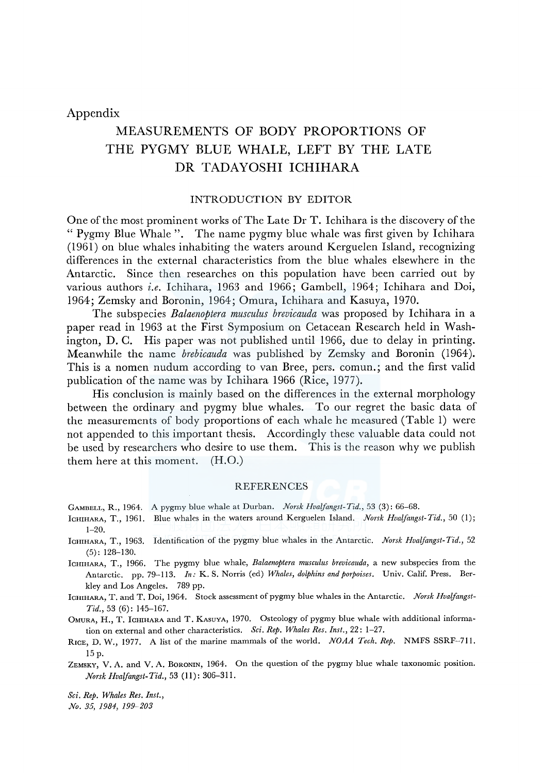# Appendix

# MEASUREMENTS OF BODY PROPORTIONS OF THE PYGMY BLUE WHALE, LEFT BY THE LATE DR TADAYOSHI ICHIHARA

## INTRODUCTION BY EDITOR

One of the most prominent works of The Late Dr T. Ichihara is the discovery of the " Pygmy Blue Whale ". The name pygmy blue whale was first given by Ichihara ( 1961) on blue whales inhabiting the waters around Kerguelen Island, recognizing differences in the external characteristics from the blue whales elsewhere in the Antarctic. Since then researches on this population have been carried out by various authors *i.e.* Ichihara, 1963 and 1966; Gambell, 1964; Ichihara and Doi, 1964; Zemsky and Boronin, 1964; Omura, Ichihara and Kasuya, 1970.

The subspecies *Balaenoptera musculus brevicauda* was proposed by Ichihara in a paper read in 1963 at the First Symposium on Cetacean Research held in Washington, D. C. His paper was not published until 1966, due to delay in printing. Meanwhile the name *brebicauda* was published by Zemsky and Boronin (1964). This is a nomen nudum according to van Bree, pers. comun.; and the first valid publication of the name was by Ichihara 1966 (Rice, 1977).

His conclusion is mainly based on the differences in the external morphology between the ordinary and pygmy blue whales. To our regret the basic data of the measurements of body proportions of each whale he measured (Table 1) were not appended to this important thesis. Accordingly these valuable data could not be used by researchers who desire to use them. This is the reason why we publish them here at this moment. (H.0.)

#### REFERENCES

- GAMBELL, R., 1964. A pygmy blue whale at Durban. *Norsk Hvalfangst-Tid.,* 53 (3): 66-68.
- lcHIHARA, T., 1961. Blue whales in the waters around Kerguelen Island. *Norsk Hvalfangst-Tid.,* 50 (l); 1-20.
- lcHIHARA, T., 1963. Identification of the pygmy blue whales in the Antarctic. *Norsk Hvalfangst-Tid.,* 52 (5): 128-130.
- lcHIHARA, T., 1966. The pygmy blue whale, *Balaenoptera musculus brevicauda,* a new subspecies from the Antarctic. pp. 79-113. *In:* K. S. Norris (ed) *Whales, dolphins and porpoises.* Univ. Calif. Press. Berkley and Los Angeles. 789 pp.
- lcHIHARA, T. and T. Doi, 1964. Stock assessment of pygmy blue whales in the Antarctic. *Norsk Hvalfangst-Tid.,* 53 (6): 145-167.

OMURA, H., T. ICHIHARA and T. KASUYA, 1970. Osteology of pygmy blue whale with additional information on external and other characteristics. *Sci. Rep. Whales Res. Inst.,* 22: 1-27.

RICE, D. W., 1977. A list of the marine mammals of the world. *NOAA Tech. Rep.* NMFS SSRF-711. 15 p.

ZEMSKY, V. A. and V. A. BoRONIN, 1964. On the question of the pygmy blue whale taxonomic position. *Norsk Hvalfangst- Tid.,* 53 ( 11): 306-311.

*Sci. Rep. Whales Res. Inst.,* 

*No.* 35, 1984, 199-203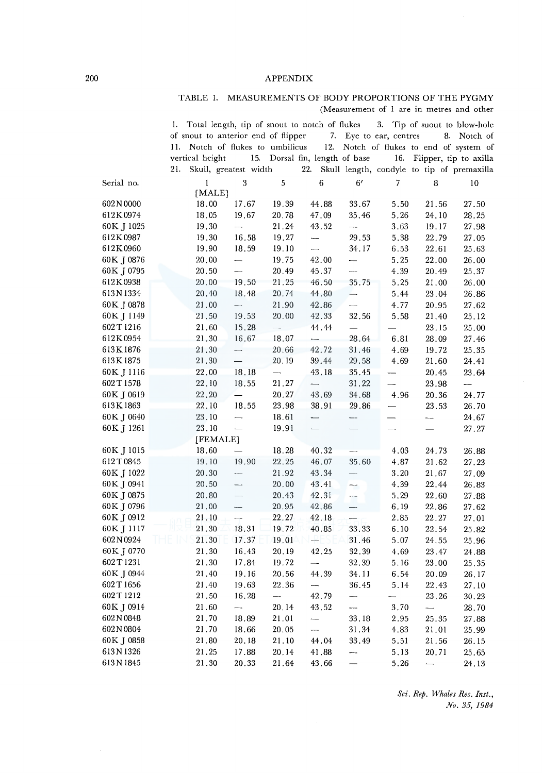#### APPENDIX

## TABLE !. MEASUREMENTS OF BODY PROPORTIONS OF THE PYGMY (Measurement of 1 are in metres and other

|            | 1.              |              |                                     |                          | Total length, tip of snout to notch of flukes |                          |                          | 3. Tip of suout to blow-hole               |                          |
|------------|-----------------|--------------|-------------------------------------|--------------------------|-----------------------------------------------|--------------------------|--------------------------|--------------------------------------------|--------------------------|
|            |                 |              | of snout to anterior end of flipper |                          |                                               |                          | 7. Eye to ear, centres   | 8.                                         | Notch of                 |
|            | 11.             |              | Notch of flukes to umbilicus        |                          |                                               |                          |                          | 12. Notch of flukes to end of system of    |                          |
|            | vertical height |              | 15.                                 |                          | Dorsal fin, length of base                    |                          | 16.                      | Flipper, tip to axilla                     |                          |
|            | 21.             |              | Skull, greatest width               |                          | 22.                                           |                          |                          | Skull length, condyle to tip of premaxilla |                          |
| Serial no. |                 | $\mathbf{1}$ | 3                                   | $\,$ 5 $\,$              | 6                                             | 6'                       | $\overline{7}$           | 8                                          | 10                       |
|            |                 | [MALE]       |                                     |                          |                                               |                          |                          |                                            |                          |
| 602N0000   |                 | 18.00        | 17.67                               | 19.39                    | 44.88                                         | 33.67                    | 5.50                     | 21.56                                      | 27.50                    |
| 612K0974   |                 | 18.05        | 19.67                               | 20.78                    | 47.09                                         | 35.46                    | 5.26                     | 24.10                                      | 28.25                    |
| 60K J 1025 |                 | 19.30        | ---                                 | 21.24                    | 43.52                                         | $\overline{\phantom{0}}$ | 3.63                     | 19.17                                      | 27.98                    |
| 612K0987   |                 | 19.30        | 16.58                               | 19.27                    | $\qquad \qquad$                               | 29.53                    | 5.38                     | 22.79                                      | 27.05                    |
| 612K0960   |                 | 19.90        | 18.59                               | 19.10                    | $\overline{\phantom{a}}$                      | 34.17                    | 6.53                     | 22.61                                      | 25.63                    |
| 60K J 0876 |                 | 20,00        | -                                   | 19.75                    | 42.00                                         | $\overline{\phantom{0}}$ | 5.25                     | 22.00                                      | 26.00                    |
| 60K J 0795 |                 | 20.50        | —.,                                 | 20.49                    | 45.37                                         | $\overline{a}$           | 4.39                     | 20.49                                      | 25.37                    |
| 612K0938   |                 | 20.00        | 19.50                               | 21.25                    | 46.50                                         | 35.75                    | 5.25                     | 21.00                                      | 26.00                    |
| 613N1334   |                 | 20.40        | 18.48                               | 20.74                    | 44.80                                         | -----                    | 5.44                     | 23.04                                      | 26.86                    |
| 60K J 0878 |                 | 21.00        | $\overline{\phantom{0}}$            | 21.90                    | 42.86                                         | $\overline{a}$           | 4.77                     | 20.95                                      | 27.62                    |
| 60K J 1149 |                 | 21.50        | 19.53                               | 20.00                    | 42.33                                         | 32.56                    | 5.58                     | 21.40                                      | 25.12                    |
| 602T1216   |                 | 21.60        | 15.28                               | L.                       | 44.44                                         |                          |                          | 23.15                                      | 25.00                    |
| 612K0954   |                 | 21.30        | 16.67                               | 18.07                    | $\overline{\phantom{0}}$                      | 28.64                    | 6.81                     | 28.09                                      | 27.46                    |
| 613K1876   |                 | 21.30        | $\overline{\phantom{0}}$            | 20.66                    | 42.72                                         | 31.46                    | 4.69                     | 19.72                                      | 25.35                    |
| 613K1875   |                 | 21.30        |                                     | 20.19                    | 39.44                                         | 29.58                    | 4.69                     | 21.60                                      | 24.41                    |
| 60K J 1116 |                 | 22.00        | 18.18                               | —                        | 43.18                                         | 35.45                    | —                        | 20.45                                      | 23.64                    |
| 602T1578   |                 | 22.10        | 18.55                               | 21.27                    | $\overline{\phantom{0}}$                      | 31.22                    | --                       | 23.98                                      | $\overline{\phantom{0}}$ |
| 60K J 0619 |                 | 22,20        |                                     | 20.27                    | 43.69                                         | 34.68                    | 4.96                     | 20.36                                      | 24.77                    |
| 613K1863   |                 | 22.10        | 18.55                               | 23.98                    | 38.91                                         | 29.86                    | $\overline{\phantom{0}}$ | 23.53                                      | 26.70                    |
| 60K J 0640 |                 | 23.10        | $\overline{\phantom{0}}$            | 18.61                    | $\overline{\phantom{0}}$                      | -                        |                          | ---                                        | 24.67                    |
| 60K J 1261 |                 | 23.10        | $\overline{\phantom{0}}$            | 19.91                    | $\overline{\phantom{0}}$                      |                          | $\overline{\phantom{0}}$ | $\overline{\phantom{0}}$                   | 27.27                    |
|            |                 | [FEMALE]     |                                     |                          |                                               |                          |                          |                                            |                          |
| 60K J 1015 |                 | 18.60        |                                     | 18.28                    | 40.32                                         |                          | 4.03                     | 24.73                                      | 26.88                    |
| 612T0845   |                 | 19.10        | 19.90                               | 22.25                    | 46.07                                         | 35.60                    | 4.87                     | 21.62                                      | 27.23                    |
| 60K J 1022 |                 | 20.30        | ---                                 | 21.92                    | 43.34                                         | $\overline{\phantom{0}}$ | 3.20                     | 21.67                                      | 27.09                    |
| 60K J 0941 |                 | 20.50        | $\overline{\phantom{a}}$            | 20.00                    | 43.41                                         | $\overline{\phantom{a}}$ | 4.39                     | 22.44                                      | 26.83                    |
| 60K J 0875 |                 | 20.80        |                                     | 20.43                    | 42.31                                         | ÷                        | 5.29                     | 22.60                                      | 27.88                    |
| 60K J 0796 |                 | 21.00        |                                     | 20.95                    | 42.86                                         | —                        | 6.19                     | 22.86                                      | 27.62                    |
| 60K J 0912 |                 | 21.10        | $\overline{a}$                      | 22.27                    | 42.18                                         | $\overline{\phantom{0}}$ | 2.85                     | 22.27                                      | 27.01                    |
| 60K J 1117 |                 | 21.30        | 18.31                               | 19.72                    | 40.85                                         | 33.33                    | 6.10                     | 22.54                                      | 25.82                    |
| 602N0924   |                 | 21.30        | 17.37                               | 19.01                    | -8                                            | 31.46                    | 5.07                     | 24.55                                      | 25.96                    |
| 60K J 0770 |                 | 21.30        | 16.43                               | 20.19                    | 42.25                                         | 32.39                    | 4.69                     | 23.47                                      | 24.88                    |
| 602T1231   |                 | 21.30        | 17.84                               | 19.72                    | $\overline{\phantom{a}}$                      | 32.39                    | 5.16                     | 23.00                                      | 25.35                    |
| 60K J 0944 |                 | 21.40        | 19.16                               | 20.56                    | 44.39                                         | 34.11                    | 6.54                     | 20.09                                      | 26.17                    |
| 602T1656   |                 | 21.40        | 19.63                               | 22.36                    |                                               | 36.45                    | 5.14                     | 22.43                                      | 27.10                    |
| 602T1212   |                 | 21.50        | 16.28                               | $\overline{\phantom{0}}$ | 42.79                                         | ------                   |                          | 23.26                                      | 30.23                    |
| 60K J 0914 |                 | 21.60        | $\overline{\phantom{0}}$            | 20.14                    | 43.52                                         | $\overline{\phantom{a}}$ | 3.70                     | $\overline{\phantom{a}}$                   | 28.70                    |
| 602N0848   |                 | 21.70        | 18.89                               | 21.01                    | $\overline{\phantom{0}}$                      | 33.18                    | 2.95                     | 25.35                                      | 27.88                    |
| 602N0804   |                 | 21.70        | 18.66                               | 20.05                    | $\overline{\phantom{a}}$                      | 31.34                    | 4.83                     | 21.01                                      | 25.99                    |
| 60K J 0858 |                 | 21.80        | 20.18                               | 21.10                    | 44.04                                         | 33.49                    | 5.51                     | 21.56                                      | 26.15                    |
| 613N1326   |                 | 21.25        | 17.88                               | 20.14                    | 41.88                                         | -                        | 5.13                     | 20.71                                      | 25.65                    |
| 613N1845   |                 | 21.30        | 20.33                               | 21.64                    | 43.66                                         | $rac{1}{2}$              | 5.26                     |                                            | 24.13                    |

*Sci. Rep. Whales Res. Inst., No. 35, 1984*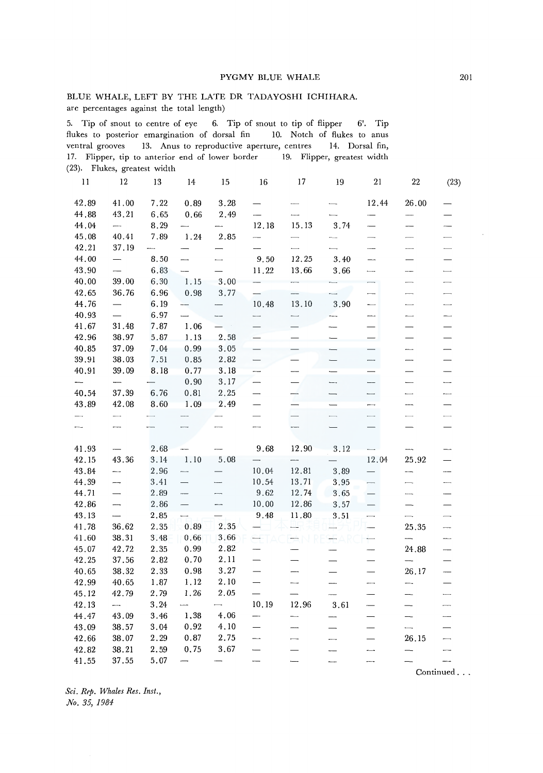#### PYGMY BLUE WHALE 201

### BLUE WHALE, LEFT BY THE LATE DR TADAYOSHI ICHIHARA. are percentages against the total length)

5. Tip of snout to centre of eye 6. Tip of snout to tip of flipper 6'. Tip flukes to posterior emargination of dorsal fin 10. Notch of flukes to anus ventral grooves 13. Anus to reproductive aperture, centres 14. Dorsal fin, 17. Flipper, tip to anterior end of lower border 19. Flipper, greatest width (23). Flukes, greatest width

| 11                       | 12                       | 13                       | 14                       | 15                       | 16                       | 17                       | 19                       | 21                       | 22                       | (23)                     |
|--------------------------|--------------------------|--------------------------|--------------------------|--------------------------|--------------------------|--------------------------|--------------------------|--------------------------|--------------------------|--------------------------|
| 42.89                    | 41.00                    | 7.22                     | 0.89                     | 3.28                     |                          | $\sim$                   |                          | 12.44                    | 26.00                    |                          |
| 44.88                    | 43.21                    | 6.65                     | 0.66                     | 2.49                     |                          |                          |                          |                          |                          |                          |
| 44.04                    | $\overline{\phantom{a}}$ | 8.29                     |                          |                          | 12.18                    | 15.13                    | 3.74                     | $\overline{\phantom{0}}$ | ---                      |                          |
| 45.08                    | 40.41                    | 7.89                     | 1.24                     | 2.85                     | --                       |                          |                          |                          |                          |                          |
| 42.21                    | 37.19                    |                          |                          |                          |                          |                          |                          | ---                      | $\overline{\phantom{0}}$ |                          |
| 44.00                    | $\overline{\phantom{0}}$ | 8.50                     | —<br>——                  |                          | 9.50                     | 12.25                    | 3.40                     |                          |                          |                          |
| 43.90                    | $\overline{\phantom{0}}$ | 6.83                     | $\overline{\phantom{a}}$ |                          | 11.22                    | 13.66                    | 3.66                     | $\overline{\phantom{0}}$ | ---                      |                          |
| 40.00                    | 39.00                    | 6.30                     | 1.15                     | 3.00                     |                          | .                        |                          | $\overline{\phantom{a}}$ | $\overline{\phantom{0}}$ |                          |
| 42.65                    | 36.76                    | 6.96                     | 0.98                     | 3.77                     |                          |                          |                          | $\overline{\phantom{a}}$ | $\overline{\phantom{0}}$ |                          |
| 44.76                    |                          | 6.19                     |                          |                          | 10,48                    | 13.10                    | 3.90                     | $\overline{\phantom{a}}$ | $\overline{\phantom{0}}$ | $\overline{\phantom{0}}$ |
| 40.93                    | $\equiv$                 | 6.97                     |                          |                          | $\overline{\phantom{a}}$ | $\overline{\phantom{a}}$ | ---                      | ---                      | $\overline{\phantom{0}}$ | —                        |
| 41.67                    | 31.48                    | 7.87                     | 1.06                     |                          |                          |                          |                          |                          |                          |                          |
| 42.96                    | 38.97                    | 5.87                     | 1.13                     | 2.58                     |                          |                          |                          |                          |                          |                          |
| 40.85                    | 37.09                    | 7.04                     | 0.99                     | 3.05                     | $\qquad \qquad$          |                          |                          | $\overline{\phantom{0}}$ | —                        |                          |
| 39.91                    | 38.03                    | 7.51                     | 0.85                     | 2.82                     |                          |                          |                          | ---                      | —                        |                          |
| 40.91                    | 39.09                    | 8.18                     | 0.77                     | 3.18                     |                          |                          |                          |                          |                          |                          |
|                          |                          | -                        | 0.90                     | 3.17                     | $\overline{\phantom{0}}$ |                          |                          | -                        | <u>.</u>                 |                          |
| 40.54                    | 37.39                    | 6.76                     | 0.81                     | 2.25                     | $\overline{\phantom{0}}$ | --                       |                          | -----                    | $\overline{\phantom{0}}$ | -----                    |
| 43.89                    | 42.08                    | 8.60                     | 1.09                     | 2.49                     | $\overline{\phantom{0}}$ |                          |                          | $\overline{\phantom{0}}$ | ---                      |                          |
| $\overline{\phantom{a}}$ | $\overline{\phantom{0}}$ | $\overline{\phantom{a}}$ |                          |                          | $\overline{\phantom{0}}$ |                          | $\overline{\phantom{a}}$ | $\overline{\phantom{a}}$ | $\overline{\phantom{0}}$ |                          |
|                          | $\frac{1}{2}$            |                          |                          |                          | $\overline{\phantom{a}}$ | ---                      |                          |                          |                          |                          |
| 41.93                    |                          | 2.68                     |                          |                          | 9.68                     | 12.90                    | 3.12                     |                          |                          |                          |
| 42.15                    | 43.36                    | 3.14                     | 1.10                     | 5.08                     |                          | --                       |                          | 12.04                    | 25.92                    |                          |
| 43.84                    |                          | 2.96                     |                          | _                        | 10.04                    | 12.81                    | 3.89                     | $\overline{\phantom{0}}$ |                          |                          |
| 44.39                    | --                       | 3.41                     | $\overline{\phantom{0}}$ |                          | 10.54                    | 13.71                    | 3.95                     | $\overline{\phantom{0}}$ | $\overline{\phantom{0}}$ |                          |
| 44.71                    | $\overline{\phantom{0}}$ | 2.89                     | $\overline{\phantom{0}}$ |                          | 9.62                     | 12.74                    | 3.65                     | $\overline{\phantom{0}}$ | -                        |                          |
| 42.86                    | $\overline{\phantom{a}}$ | 2.86                     | $\overline{\phantom{0}}$ | ---                      | 10.00                    | 12.86                    | 3.57                     |                          |                          |                          |
| 43.13                    | $\overline{\phantom{0}}$ | 2.85                     |                          |                          | 9.48                     | 11.80                    | 3.51                     | $\overline{\phantom{0}}$ | $\overline{\phantom{a}}$ |                          |
| 41.78                    | 36.62                    | 2.35                     | 0.89                     | 2.35                     |                          |                          |                          |                          | 25.35                    | ----                     |
| 41.60                    | 38.31                    | 3.48                     | 0.66                     | 3.66                     |                          |                          |                          |                          | $\overline{\phantom{0}}$ |                          |
| 45.07                    | 42.72                    | 2.35                     | 0.99                     | 2.82                     | --                       |                          |                          | $\overline{\phantom{0}}$ | 24.88                    | —<br>——                  |
| 42.25                    | 37.56                    | 2.82                     | 0.70                     | 2.11                     |                          |                          |                          |                          | $\overline{\phantom{0}}$ |                          |
| 40.65                    | 38.32                    | 2.33                     | 0.98                     | 3.27                     | $\overline{\phantom{0}}$ |                          |                          | $\overline{\phantom{0}}$ | 26.17                    |                          |
| 42.99                    | 40.65                    | 1.87                     | 1.12                     | 2.10                     |                          | --                       |                          |                          |                          |                          |
| 45.12                    | 42.79                    | 2.79                     | 1.26                     | 2.05                     | $\overline{\phantom{0}}$ |                          |                          |                          | --                       | —<br>——                  |
| 42.13                    |                          | 3.24                     |                          | $\overline{\phantom{a}}$ | 10.19                    | 12.96                    | 3.61                     | $\overline{\phantom{0}}$ |                          |                          |
| 44.47                    | 43.09                    | 3.46                     | 1,38                     | 4.06                     | $\overline{\phantom{a}}$ | $\overline{\phantom{0}}$ |                          | $\overline{\phantom{0}}$ | $\overline{\phantom{0}}$ |                          |
| 43.09                    | 38.57                    | 3.04                     | 0.92                     | 4,10                     |                          |                          |                          |                          | $\overline{\phantom{0}}$ |                          |
| 42.66                    | 38.07                    | 2.29                     | 0.87                     | 2.75                     | $\overline{\phantom{a}}$ | —                        | ---                      |                          | 26.15                    | $\overline{\phantom{a}}$ |
| 42.82                    | 38.21                    | 2.59                     | 0.75                     | 3.67                     | $\overline{\phantom{0}}$ |                          |                          | ---                      |                          | $\overline{\phantom{a}}$ |
| 41.55                    | 37.55                    | 5.07                     |                          |                          |                          |                          |                          |                          |                          |                          |

*Sci. Rep. Whales Res. Inst., No. 35, 1984* 

Continued ...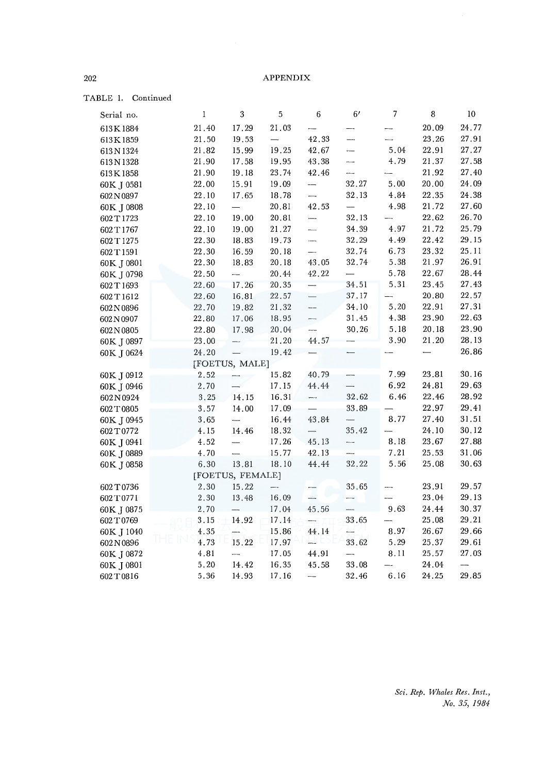TABLE I. Continued

| Serial no. | $\mathbf{I}$ | 3                        | 5                        | 6                        | 6 <sup>′</sup>           | 7                        | 8                        | 10    |
|------------|--------------|--------------------------|--------------------------|--------------------------|--------------------------|--------------------------|--------------------------|-------|
| 613K1884   | 21.40        | 17.29                    | 21.03                    |                          |                          |                          | 20.09                    | 24.77 |
| 613K1859   | 21.50        | 19.53                    | $\overline{\phantom{0}}$ | 42.33                    | —.,                      |                          | 23.26                    | 27.91 |
| 613N1324   | 21.82        | 15.99                    | 19.25                    | 42.67                    | ---                      | 5.04                     | 22.91                    | 27.27 |
| 613N1328   | 21.90        | 17.58                    | 19.95                    | 43.38                    |                          | 4.79                     | 21.37                    | 27.58 |
| 613K1858   | 21.90        | 19.18                    | 23.74                    | 42.46                    |                          |                          | 21.92                    | 27,40 |
| 60K J 0581 | 22.00        | 15.91                    | 19.09                    | --                       | 32.27                    | 5.00                     | 20,00                    | 24.09 |
| 602N0897   | 22.10        | 17.65                    | 18.78                    | ----                     | 32.13                    | 4.84                     | 22.35                    | 24.38 |
| 60K J 0808 | 22.10        | $\overline{\phantom{0}}$ | 20.81                    | 42.53                    | -                        | 4.98                     | 21.72                    | 27.60 |
| 602T1723   | 22.10        | 19.00                    | 20.81                    | —                        | 32.13                    | —…                       | 22.62                    | 26.70 |
| 602T1767   | 22.10        | 19.00                    | 21.27                    | -                        | 34.39                    | 4.97                     | 21.72                    | 25.79 |
| 602 T 1275 | 22.30        | 18.83                    | 19.73                    |                          | 32.29                    | 4.49                     | 22.42                    | 29.15 |
| 602 T 1591 | 22.30        | 16.59                    | 20.18                    | $\overline{\phantom{0}}$ | 32.74                    | 6.73                     | 23.32                    | 25.11 |
| 60K J 0801 | 22.30        | 18.83                    | 20.18                    | 43.05                    | 32.74                    | 5.38                     | 21.97                    | 26.91 |
| 60K J 0798 | 22.50        | $\overline{\phantom{a}}$ | 20.44                    | 42.22                    | $\overline{\phantom{0}}$ | 5.78                     | 22.67                    | 28.44 |
| 602T1693   | 22.60        | 17.26                    | 20.35                    | —                        | 34.51                    | 5.31                     | $23.45\,$                | 27.43 |
| 602T1612   | 22.60        | 16.81                    | 22.57                    | $\overline{\phantom{0}}$ | 37.17                    |                          | 20.80                    | 22.57 |
| 602N0896   | 22.70        | 19.82                    | 21.32                    | $-$                      | 34.10                    | 5.20                     | 22.91                    | 27.31 |
| 602N0907   | 22.80        | 17.06                    | 18.95                    | -                        | 31.45                    | 4.38                     | 23.90                    | 22.63 |
| 602N0805   | 22.80        | 17.98                    | 20.04                    | ----                     | 30.26                    | 5.18                     | 20.18                    | 23.90 |
| 60K J 0897 | 23.00        |                          | 21.20                    | 44.57                    |                          | 3.90                     | 21.20                    | 28.13 |
| 60K J 0624 | 24.20        |                          | 19.42                    |                          |                          |                          | $\overline{\phantom{0}}$ | 26.86 |
|            |              | [FOETUS, MALE]           |                          |                          |                          |                          |                          |       |
| 60K J 0912 | 2.52         |                          | 15.82                    | 40.79                    |                          | 7.99                     | 23.81                    | 30.16 |
| 60K J 0946 | 2.70         |                          | 17.15                    | 44.44                    | —                        | 6.92                     | 24.81                    | 29.63 |
| 602N0924   | 3.25         | 14.15                    | 16.31                    | -                        | 32.62                    | 6.46                     | 22.46                    | 28.92 |
| 602T0805   | 3.57         | 14.00                    | 17.09                    |                          | 33.89                    |                          | 22.97                    | 29.41 |
| 60K J 0945 | 3.65         | $\overline{\phantom{a}}$ | 16.44                    | 43.84                    | $\overline{\phantom{0}}$ | 8.77                     | 27.40                    | 31.51 |
| 602T0772   | 4.15         | 14.46                    | 18.32                    | $\overline{\phantom{0}}$ | 35.42                    | $\overline{\phantom{0}}$ | 24.10                    | 30.12 |
| 60K J 0941 | 4.52         |                          | 17.26                    | 45.13                    | ---                      | 8.18                     | 23.67                    | 27.88 |
| 60K J 0889 | 4.70         | $\overline{\phantom{a}}$ | 15.77                    | 42.13                    |                          | 7.21                     | 25.53                    | 31.06 |
| 60K J 0858 | 6.30         | 13.81                    | 18.10                    | 44.44                    | 32.22                    | 5.56                     | 25.08                    | 30.63 |
|            |              | [FOETUS, FEMALE]         |                          |                          |                          |                          |                          |       |
| 602T0736   | 2.30         | 15.22                    | $\overline{\phantom{0}}$ |                          | 35.65                    |                          | 23.91                    | 29.57 |
| 602T0771   | 2.30         | 13.48                    | 16.09                    | L.                       | ÷,                       | ----                     | 23.04                    | 29.13 |
| 60K J 0875 | 2.70         |                          | 17.04                    | 45.56                    |                          | 9.63                     | 24.44                    | 30.37 |
| 602T0769   | 3.15         | 14.92                    | 17.14                    | —                        | 33.65                    |                          | 25.08                    | 29.21 |
| 60K J 1040 | 4.35         | 4                        | 15.86                    | 44.14                    | —                        | 8.97                     | 26.67                    | 29.66 |
| 602N0896   | 4.73         | 15.22                    | 17.97                    | щ                        | 33.62                    | 5.29                     | 25.37                    | 29.61 |
| 60K J 0872 | 4.81         |                          | 17.05                    | 44.91                    | —                        | 8.11                     | 25.57                    | 27.03 |
| 60K J 0801 | 5.20         | 14.42                    | 16.35                    | 45.58                    | 33.08                    |                          | 24.04                    |       |
| 602T0816   | 5.36         | 14.93                    | 17.16                    |                          | 32.46                    | 6.16                     | 24.25                    | 29.85 |

*Sci. Rep. Whales Res. Inst., No. 35, 1984*